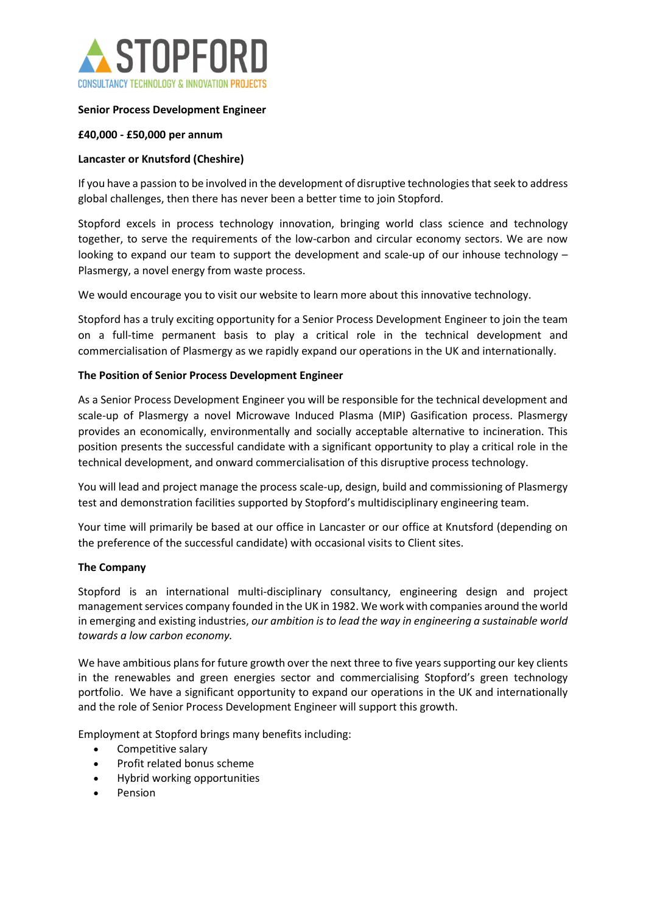

## Senior Process Development Engineer

### £40,000 - £50,000 per annum

## Lancaster or Knutsford (Cheshire)

If you have a passion to be involved in the development of disruptive technologies that seek to address global challenges, then there has never been a better time to join Stopford.

Stopford excels in process technology innovation, bringing world class science and technology together, to serve the requirements of the low-carbon and circular economy sectors. We are now looking to expand our team to support the development and scale-up of our inhouse technology – Plasmergy, a novel energy from waste process.

We would encourage you to visit our website to learn more about this innovative technology.

Stopford has a truly exciting opportunity for a Senior Process Development Engineer to join the team on a full-time permanent basis to play a critical role in the technical development and commercialisation of Plasmergy as we rapidly expand our operations in the UK and internationally.

### The Position of Senior Process Development Engineer

As a Senior Process Development Engineer you will be responsible for the technical development and scale-up of Plasmergy a novel Microwave Induced Plasma (MIP) Gasification process. Plasmergy provides an economically, environmentally and socially acceptable alternative to incineration. This position presents the successful candidate with a significant opportunity to play a critical role in the technical development, and onward commercialisation of this disruptive process technology.

You will lead and project manage the process scale-up, design, build and commissioning of Plasmergy test and demonstration facilities supported by Stopford's multidisciplinary engineering team.

Your time will primarily be based at our office in Lancaster or our office at Knutsford (depending on the preference of the successful candidate) with occasional visits to Client sites.

### The Company

Stopford is an international multi-disciplinary consultancy, engineering design and project management services company founded in the UK in 1982. We work with companies around the world in emerging and existing industries, our ambition is to lead the way in engineering a sustainable world towards a low carbon economy.   

We have ambitious plans for future growth over the next three to five years supporting our key clients in the renewables and green energies sector and commercialising Stopford's green technology portfolio.  We have a significant opportunity to expand our operations in the UK and internationally and the role of Senior Process Development Engineer will support this growth.  

Employment at Stopford brings many benefits including:

- Competitive salary
- Profit related bonus scheme
- Hybrid working opportunities
- Pension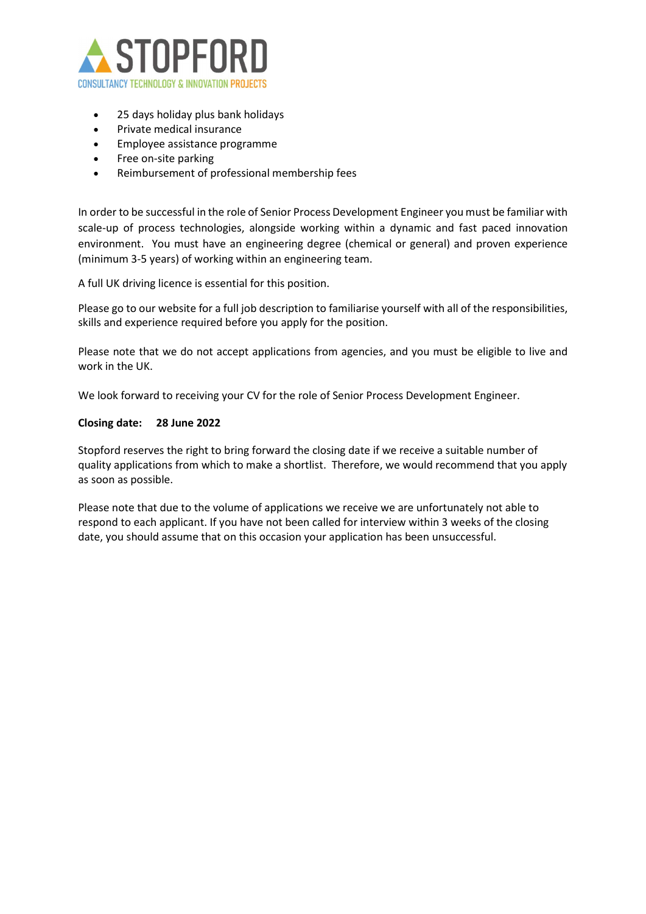

- 25 days holiday plus bank holidays
- Private medical insurance
- Employee assistance programme
- Free on-site parking
- Reimbursement of professional membership fees

In order to be successful in the role of Senior Process Development Engineer you must be familiar with scale-up of process technologies, alongside working within a dynamic and fast paced innovation environment. You must have an engineering degree (chemical or general) and proven experience (minimum 3-5 years) of working within an engineering team.

A full UK driving licence is essential for this position.

Please go to our website for a full job description to familiarise yourself with all of the responsibilities, skills and experience required before you apply for the position. 

Please note that we do not accept applications from agencies, and you must be eligible to live and work in the UK. 

We look forward to receiving your CV for the role of Senior Process Development Engineer.  

#### Closing date: 28 June 2022

Stopford reserves the right to bring forward the closing date if we receive a suitable number of quality applications from which to make a shortlist.  Therefore, we would recommend that you apply as soon as possible.  

Please note that due to the volume of applications we receive we are unfortunately not able to respond to each applicant. If you have not been called for interview within 3 weeks of the closing date, you should assume that on this occasion your application has been unsuccessful.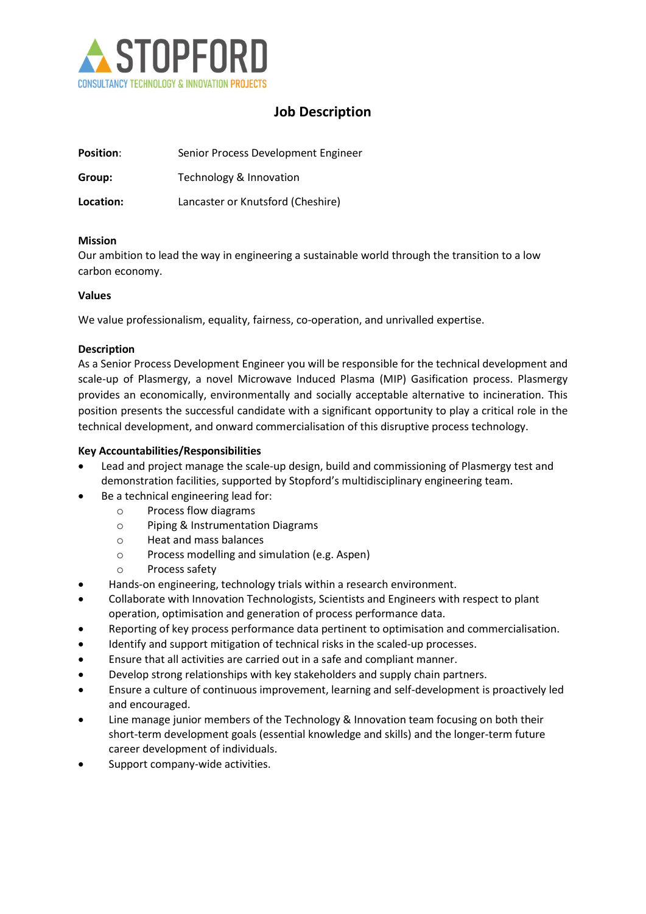

# Job Description

| <b>Position:</b> | Senior Process Development Engineer |
|------------------|-------------------------------------|
| Group:           | Technology & Innovation             |
| Location:        | Lancaster or Knutsford (Cheshire)   |

### Mission

Our ambition to lead the way in engineering a sustainable world through the transition to a low carbon economy.

### Values

We value professionalism, equality, fairness, co-operation, and unrivalled expertise.

### Description

As a Senior Process Development Engineer you will be responsible for the technical development and scale-up of Plasmergy, a novel Microwave Induced Plasma (MIP) Gasification process. Plasmergy provides an economically, environmentally and socially acceptable alternative to incineration. This position presents the successful candidate with a significant opportunity to play a critical role in the technical development, and onward commercialisation of this disruptive process technology.

## Key Accountabilities/Responsibilities

- Lead and project manage the scale-up design, build and commissioning of Plasmergy test and demonstration facilities, supported by Stopford's multidisciplinary engineering team.
	- Be a technical engineering lead for:
		- o Process flow diagrams
		- o Piping & Instrumentation Diagrams
		- o Heat and mass balances
		- o Process modelling and simulation (e.g. Aspen)
		- o Process safety
- Hands-on engineering, technology trials within a research environment.
- Collaborate with Innovation Technologists, Scientists and Engineers with respect to plant operation, optimisation and generation of process performance data.
- Reporting of key process performance data pertinent to optimisation and commercialisation.
- Identify and support mitigation of technical risks in the scaled-up processes.
- Ensure that all activities are carried out in a safe and compliant manner.
- Develop strong relationships with key stakeholders and supply chain partners.
- Ensure a culture of continuous improvement, learning and self-development is proactively led and encouraged.
- Line manage junior members of the Technology & Innovation team focusing on both their short-term development goals (essential knowledge and skills) and the longer-term future career development of individuals.
- Support company-wide activities.